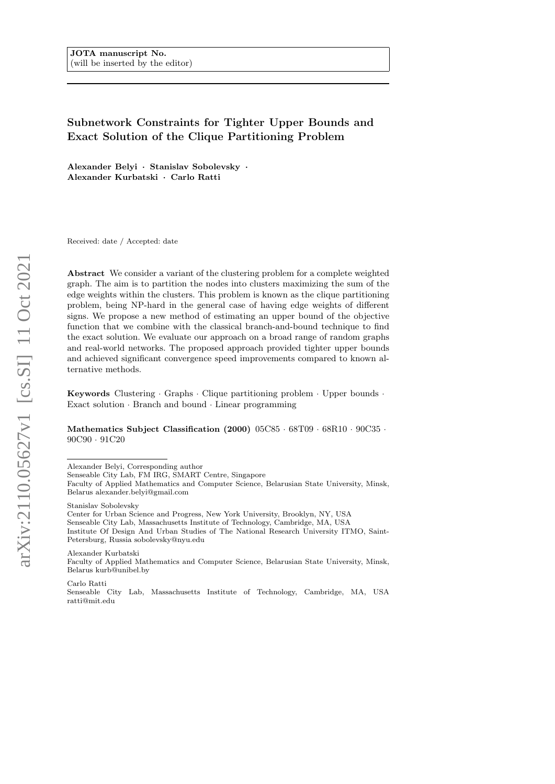# Subnetwork Constraints for Tighter Upper Bounds and Exact Solution of the Clique Partitioning Problem

Alexander Belyi · Stanislav Sobolevsky · Alexander Kurbatski · Carlo Ratti

Received: date / Accepted: date

Abstract We consider a variant of the clustering problem for a complete weighted graph. The aim is to partition the nodes into clusters maximizing the sum of the edge weights within the clusters. This problem is known as the clique partitioning problem, being NP-hard in the general case of having edge weights of different signs. We propose a new method of estimating an upper bound of the objective function that we combine with the classical branch-and-bound technique to find the exact solution. We evaluate our approach on a broad range of random graphs and real-world networks. The proposed approach provided tighter upper bounds and achieved significant convergence speed improvements compared to known alternative methods.

Keywords Clustering · Graphs · Clique partitioning problem · Upper bounds · Exact solution · Branch and bound · Linear programming

Mathematics Subject Classification (2000) 05C85 · 68T09 · 68R10 · 90C35 · 90C90 · 91C20

Alexander Belyi, Corresponding author

Stanislav Sobolevsky

Alexander Kurbatski

Faculty of Applied Mathematics and Computer Science, Belarusian State University, Minsk, Belarus kurb@unibel.by

Carlo Ratti

Senseable City Lab, FM IRG, SMART Centre, Singapore

Faculty of Applied Mathematics and Computer Science, Belarusian State University, Minsk, Belarus alexander.belyi@gmail.com

Center for Urban Science and Progress, New York University, Brooklyn, NY, USA

Senseable City Lab, Massachusetts Institute of Technology, Cambridge, MA, USA

Institute Of Design And Urban Studies of The National Research University ITMO, Saint-Petersburg, Russia sobolevsky@nyu.edu

Senseable City Lab, Massachusetts Institute of Technology, Cambridge, MA, USA ratti@mit.edu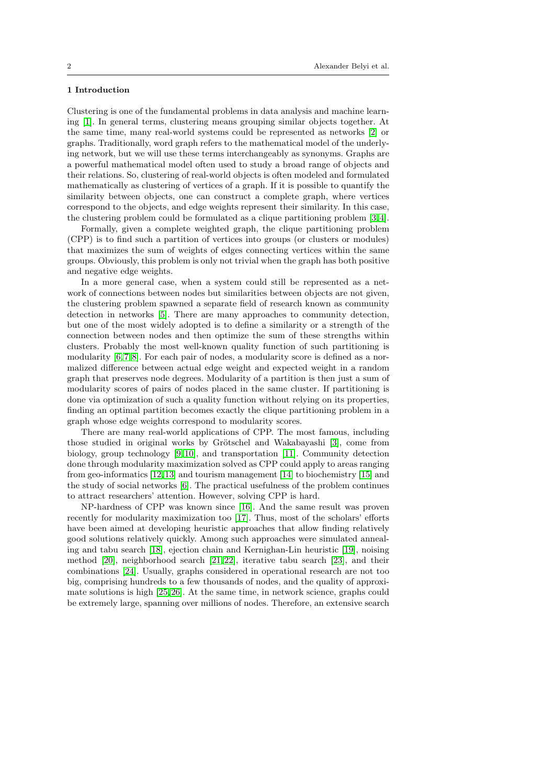## 1 Introduction

Clustering is one of the fundamental problems in data analysis and machine learning [\[1\]](#page-17-0). In general terms, clustering means grouping similar objects together. At the same time, many real-world systems could be represented as networks [\[2\]](#page-17-1) or graphs. Traditionally, word graph refers to the mathematical model of the underlying network, but we will use these terms interchangeably as synonyms. Graphs are a powerful mathematical model often used to study a broad range of objects and their relations. So, clustering of real-world objects is often modeled and formulated mathematically as clustering of vertices of a graph. If it is possible to quantify the similarity between objects, one can construct a complete graph, where vertices correspond to the objects, and edge weights represent their similarity. In this case, the clustering problem could be formulated as a clique partitioning problem [\[3,](#page-17-2) [4\]](#page-17-3).

Formally, given a complete weighted graph, the clique partitioning problem (CPP) is to find such a partition of vertices into groups (or clusters or modules) that maximizes the sum of weights of edges connecting vertices within the same groups. Obviously, this problem is only not trivial when the graph has both positive and negative edge weights.

In a more general case, when a system could still be represented as a network of connections between nodes but similarities between objects are not given, the clustering problem spawned a separate field of research known as community detection in networks [\[5\]](#page-17-4). There are many approaches to community detection, but one of the most widely adopted is to define a similarity or a strength of the connection between nodes and then optimize the sum of these strengths within clusters. Probably the most well-known quality function of such partitioning is modularity  $[6, 7, 8]$  $[6, 7, 8]$  $[6, 7, 8]$ . For each pair of nodes, a modularity score is defined as a normalized difference between actual edge weight and expected weight in a random graph that preserves node degrees. Modularity of a partition is then just a sum of modularity scores of pairs of nodes placed in the same cluster. If partitioning is done via optimization of such a quality function without relying on its properties, finding an optimal partition becomes exactly the clique partitioning problem in a graph whose edge weights correspond to modularity scores.

There are many real-world applications of CPP. The most famous, including those studied in original works by Grötschel and Wakabayashi [\[3\]](#page-17-2), come from biology, group technology [\[9,](#page-17-8) [10\]](#page-17-9), and transportation [\[11\]](#page-17-10). Community detection done through modularity maximization solved as CPP could apply to areas ranging from geo-informatics [\[12,](#page-17-11) [13\]](#page-18-0) and tourism management [\[14\]](#page-18-1) to biochemistry [\[15\]](#page-18-2) and the study of social networks [\[6\]](#page-17-5). The practical usefulness of the problem continues to attract researchers' attention. However, solving CPP is hard.

NP-hardness of CPP was known since [\[16\]](#page-18-3). And the same result was proven recently for modularity maximization too [\[17\]](#page-18-4). Thus, most of the scholars' efforts have been aimed at developing heuristic approaches that allow finding relatively good solutions relatively quickly. Among such approaches were simulated annealing and tabu search [\[18\]](#page-18-5), ejection chain and Kernighan-Lin heuristic [\[19\]](#page-18-6), noising method  $[20]$ , neighborhood search  $[21, 22]$  $[21, 22]$ , iterative tabu search  $[23]$ , and their combinations [\[24\]](#page-18-11). Usually, graphs considered in operational research are not too big, comprising hundreds to a few thousands of nodes, and the quality of approximate solutions is high [\[25,](#page-18-12)[26\]](#page-18-13). At the same time, in network science, graphs could be extremely large, spanning over millions of nodes. Therefore, an extensive search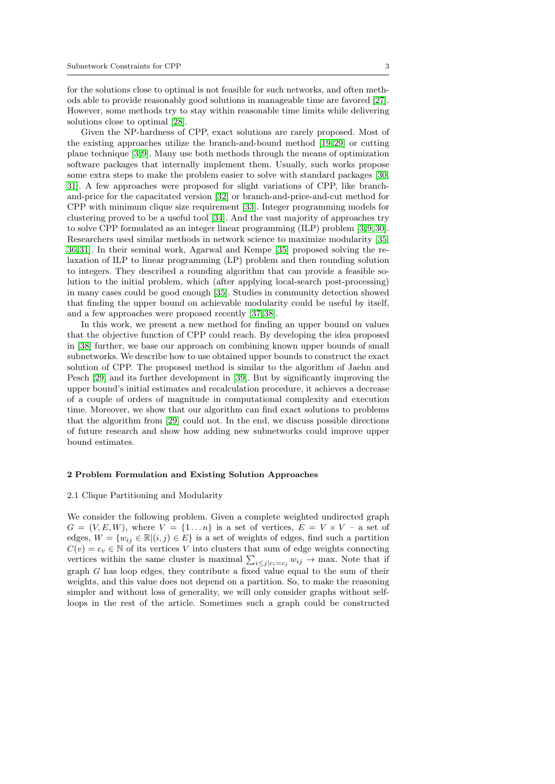for the solutions close to optimal is not feasible for such networks, and often methods able to provide reasonably good solutions in manageable time are favored [\[27\]](#page-18-14). However, some methods try to stay within reasonable time limits while delivering solutions close to optimal [\[28\]](#page-18-15).

Given the NP-hardness of CPP, exact solutions are rarely proposed. Most of the existing approaches utilize the branch-and-bound method  $[19, 29]$  $[19, 29]$  or cutting plane technique [\[3,](#page-17-2)[9\]](#page-17-8). Many use both methods through the means of optimization software packages that internally implement them. Usually, such works propose some extra steps to make the problem easier to solve with standard packages [\[30,](#page-19-0) [31\]](#page-19-1). A few approaches were proposed for slight variations of CPP, like branchand-price for the capacitated version [\[32\]](#page-19-2) or branch-and-price-and-cut method for CPP with minimum clique size requirement [\[33\]](#page-19-3). Integer programming models for clustering proved to be a useful tool [\[34\]](#page-19-4). And the vast majority of approaches try to solve CPP formulated as an integer linear programming (ILP) problem [\[3,](#page-17-2) [9,](#page-17-8)[30\]](#page-19-0). Researchers used similar methods in network science to maximize modularity [\[35,](#page-19-5) [36,](#page-19-6) [31\]](#page-19-1). In their seminal work, Agarwal and Kempe [\[35\]](#page-19-5) proposed solving the relaxation of ILP to linear programming (LP) problem and then rounding solution to integers. They described a rounding algorithm that can provide a feasible solution to the initial problem, which (after applying local-search post-processing) in many cases could be good enough [\[35\]](#page-19-5). Studies in community detection showed that finding the upper bound on achievable modularity could be useful by itself, and a few approaches were proposed recently [\[37,](#page-19-7)[38\]](#page-19-8).

In this work, we present a new method for finding an upper bound on values that the objective function of CPP could reach. By developing the idea proposed in [\[38\]](#page-19-8) further, we base our approach on combining known upper bounds of small subnetworks. We describe how to use obtained upper bounds to construct the exact solution of CPP. The proposed method is similar to the algorithm of Jaehn and Pesch [\[29\]](#page-18-16) and its further development in [\[39\]](#page-19-9). But by significantly improving the upper bound's initial estimates and recalculation procedure, it achieves a decrease of a couple of orders of magnitude in computational complexity and execution time. Moreover, we show that our algorithm can find exact solutions to problems that the algorithm from [\[29\]](#page-18-16) could not. In the end, we discuss possible directions of future research and show how adding new subnetworks could improve upper bound estimates.

### 2 Problem Formulation and Existing Solution Approaches

#### 2.1 Clique Partitioning and Modularity

We consider the following problem. Given a complete weighted undirected graph  $G = (V, E, W)$ , where  $V = \{1 \dots n\}$  is a set of vertices,  $E = V \times V$  – a set of edges,  $W = \{w_{ij} \in \mathbb{R} | (i, j) \in E \}$  is a set of weights of edges, find such a partition  $C(v) = c_v \in \mathbb{N}$  of its vertices V into clusters that sum of edge weights connecting vertices within the same cluster is maximal  $\sum_{i \leq j} |c_i = c_j w_{ij}| \to$  max. Note that if graph G has loop edges, they contribute a fixed value equal to the sum of their weights, and this value does not depend on a partition. So, to make the reasoning simpler and without loss of generality, we will only consider graphs without selfloops in the rest of the article. Sometimes such a graph could be constructed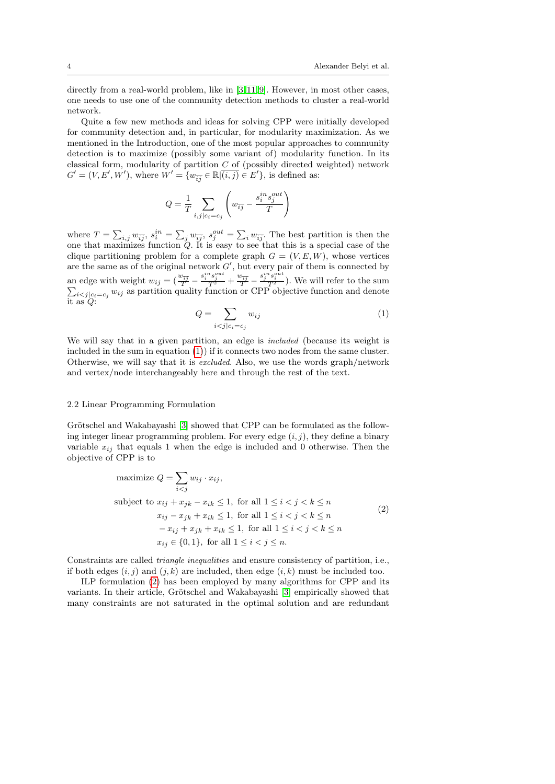directly from a real-world problem, like in [\[3,](#page-17-2)11,[9\]](#page-17-8). However, in most other cases, one needs to use one of the community detection methods to cluster a real-world network.

Quite a few new methods and ideas for solving CPP were initially developed for community detection and, in particular, for modularity maximization. As we mentioned in the Introduction, one of the most popular approaches to community detection is to maximize (possibly some variant of) modularity function. In its classical form, modularity of partition  $C$  of (possibly directed weighted) network  $G' = (V, E', W')$ , where  $W' = \{w_{\overline{ij}} \in \mathbb{R} | \overline{(i,j)} \in E'\}$ , is defined as:

$$
Q = \frac{1}{T} \sum_{i,j \mid c_i = c_j} \left( w_{\overline{ij}} - \frac{s_i^{in} s_j^{out}}{T} \right)
$$

where  $T = \sum_{i,j} w_{\overline{ij}}$ ,  $s_i^{in} = \sum_j w_{\overline{ij}}$ ,  $s_j^{out} = \sum_i w_{\overline{ij}}$ . The best partition is then the one that maximizes function  $Q$ . It is easy to see that this is a special case of the clique partitioning problem for a complete graph  $G = (V, E, W)$ , whose vertices are the same as of the original network  $G'$ , but every pair of them is connected by an edge with weight  $w_{ij} = \left(\frac{w_{\overline{ij}}}{T} - \frac{s_i^{in}s_j^{out}}{T^2} + \frac{w_{\overline{ij}}}{T} - \frac{s_j^{in}s_j^{out}}{T^2}\right)$ P  $\frac{s_i}{T^2}$ ). We will refer to the sum  $_{i < j|c_i = c_j} w_{ij}$  as partition quality function or CPP objective function and denote it as Q:

<span id="page-3-0"></span>
$$
Q = \sum_{i < j \mid c_i = c_j} w_{ij} \tag{1}
$$

We will say that in a given partition, an edge is *included* (because its weight is included in the sum in equation [\(1\)](#page-3-0)) if it connects two nodes from the same cluster. Otherwise, we will say that it is excluded. Also, we use the words graph/network and vertex/node interchangeably here and through the rest of the text.

### 2.2 Linear Programming Formulation

Grötschel and Wakabayashi [\[3\]](#page-17-2) showed that CPP can be formulated as the following integer linear programming problem. For every edge  $(i, j)$ , they define a binary variable  $x_{ij}$  that equals 1 when the edge is included and 0 otherwise. Then the objective of CPP is to

$$
\begin{aligned}\n\text{maximize } Q &= \sum_{i < j} w_{ij} \cdot x_{ij}, \\
\text{subject to } x_{ij} + x_{jk} - x_{ik} \le 1, \text{ for all } 1 \le i < j < k \le n \\
& x_{ij} - x_{jk} + x_{ik} \le 1, \text{ for all } 1 \le i < j < k \le n \\
&- x_{ij} + x_{jk} + x_{ik} \le 1, \text{ for all } 1 \le i < j < k \le n \\
& x_{ij} \in \{0, 1\}, \text{ for all } 1 \le i < j \le n.\n\end{aligned}\n\tag{2}
$$

<span id="page-3-1"></span>Constraints are called triangle inequalities and ensure consistency of partition, i.e., if both edges  $(i, j)$  and  $(j, k)$  are included, then edge  $(i, k)$  must be included too.

ILP formulation [\(2\)](#page-3-1) has been employed by many algorithms for CPP and its variants. In their article, Grötschel and Wakabayashi [\[3\]](#page-17-2) empirically showed that many constraints are not saturated in the optimal solution and are redundant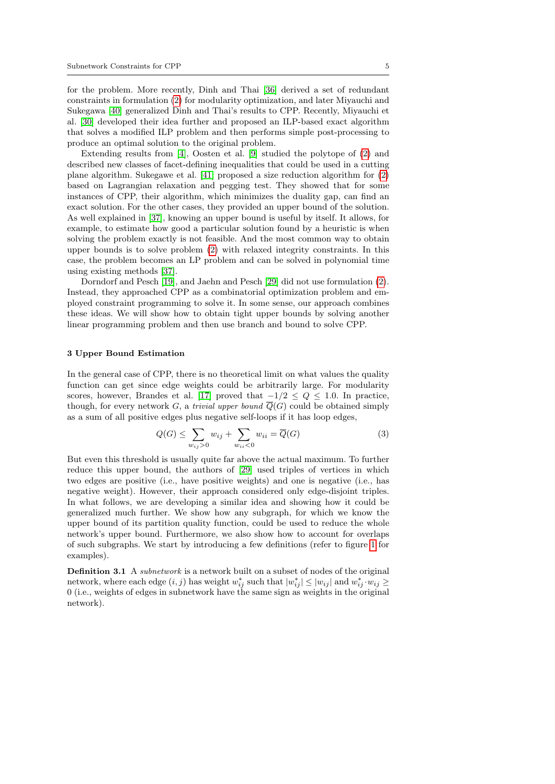for the problem. More recently, Dinh and Thai [\[36\]](#page-19-6) derived a set of redundant constraints in formulation [\(2\)](#page-3-1) for modularity optimization, and later Miyauchi and Sukegawa [\[40\]](#page-19-10) generalized Dinh and Thai's results to CPP. Recently, Miyauchi et al. [\[30\]](#page-19-0) developed their idea further and proposed an ILP-based exact algorithm that solves a modified ILP problem and then performs simple post-processing to produce an optimal solution to the original problem.

Extending results from [\[4\]](#page-17-3), Oosten et al. [\[9\]](#page-17-8) studied the polytope of [\(2\)](#page-3-1) and described new classes of facet-defining inequalities that could be used in a cutting plane algorithm. Sukegawe et al. [\[41\]](#page-19-11) proposed a size reduction algorithm for [\(2\)](#page-3-1) based on Lagrangian relaxation and pegging test. They showed that for some instances of CPP, their algorithm, which minimizes the duality gap, can find an exact solution. For the other cases, they provided an upper bound of the solution. As well explained in [\[37\]](#page-19-7), knowing an upper bound is useful by itself. It allows, for example, to estimate how good a particular solution found by a heuristic is when solving the problem exactly is not feasible. And the most common way to obtain upper bounds is to solve problem [\(2\)](#page-3-1) with relaxed integrity constraints. In this case, the problem becomes an LP problem and can be solved in polynomial time using existing methods [\[37\]](#page-19-7).

Dorndorf and Pesch [\[19\]](#page-18-6), and Jaehn and Pesch [\[29\]](#page-18-16) did not use formulation [\(2\)](#page-3-1). Instead, they approached CPP as a combinatorial optimization problem and employed constraint programming to solve it. In some sense, our approach combines these ideas. We will show how to obtain tight upper bounds by solving another linear programming problem and then use branch and bound to solve CPP.

## 3 Upper Bound Estimation

In the general case of CPP, there is no theoretical limit on what values the quality function can get since edge weights could be arbitrarily large. For modularity scores, however, Brandes et al. [\[17\]](#page-18-4) proved that  $-1/2 \le Q \le 1.0$ . In practice, though, for every network G, a trivial upper bound  $\overline{Q}(G)$  could be obtained simply as a sum of all positive edges plus negative self-loops if it has loop edges,

<span id="page-4-0"></span>
$$
Q(G) \le \sum_{w_{ij} > 0} w_{ij} + \sum_{w_{ii} < 0} w_{ii} = \overline{Q}(G)
$$
 (3)

But even this threshold is usually quite far above the actual maximum. To further reduce this upper bound, the authors of [\[29\]](#page-18-16) used triples of vertices in which two edges are positive (i.e., have positive weights) and one is negative (i.e., has negative weight). However, their approach considered only edge-disjoint triples. In what follows, we are developing a similar idea and showing how it could be generalized much further. We show how any subgraph, for which we know the upper bound of its partition quality function, could be used to reduce the whole network's upper bound. Furthermore, we also show how to account for overlaps of such subgraphs. We start by introducing a few definitions (refer to figure [1](#page-5-0) for examples).

Definition 3.1 A subnetwork is a network built on a subset of nodes of the original network, where each edge  $(i, j)$  has weight  $w_{ij}^*$  such that  $|w_{ij}^*| \leq |w_{ij}|$  and  $w_{ij}^* \cdot w_{ij} \geq$ 0 (i.e., weights of edges in subnetwork have the same sign as weights in the original network).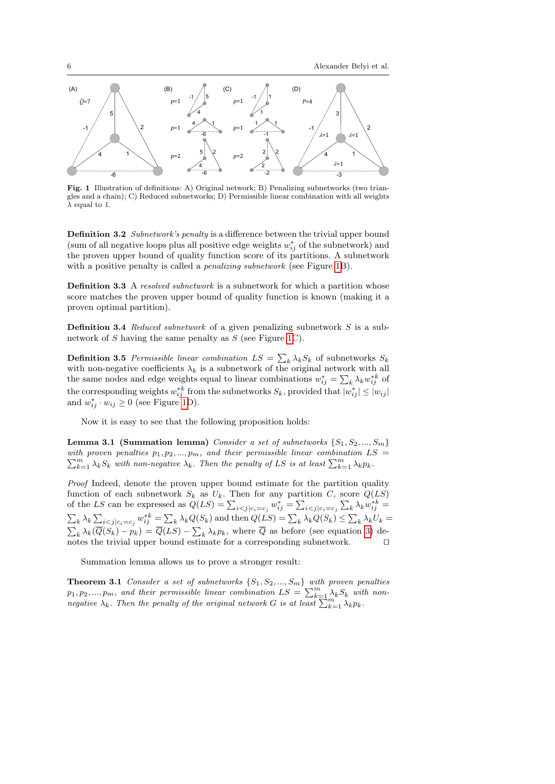

<span id="page-5-0"></span>**PERCORET INTERFERENT SUBDER PERMISSION** CONSULTER PERSONAL PERSONAL PERSONAL PERSONAL PERSONAL PERSONAL PERSONAL PERSONAL PERSONAL PERSONAL PERSONAL PERSONAL PERSONAL PERSONAL PERSONAL PERSONAL PERSONAL PERSONAL PERSONAL Fig. 1 Illustration of definitions: A) Original network; B) Penalizing subnetworks (two trian- $\lambda$  equal to 1.

Definition 3.2 Subnetwork's penalty is a difference between the trivial upper bound (sum of all negative loops plus all positive edge weights  $w_{ij}^*$  of the subnetwork) and the proven upper bound of quality function score of its partitions. A subnetwork with a positive penalty is called a *penalizing subnetwork* (see Figure [1B](#page-5-0)).

**Definition 3.3** A resolved subnetwork is a subnetwork for which a partition whose score matches the proven upper bound of quality function is known (making it a proven optimal partition).

**Definition 3.4** Reduced subnetwork of a given penalizing subnetwork  $S$  is a sub-network of S having the same penalty as S (see Figure [1C](#page-5-0)).

**Definition 3.5** Permissible linear combination  $LS = \sum_k \lambda_k S_k$  of subnetworks  $S_k$ with non-negative coefficients  $\lambda_k$  is a subnetwork of the original network with all the same nodes and edge weights equal to linear combinations  $w_{ij}^* = \sum_k \lambda_k w_{ij}^{*k}$  of the corresponding weights  $w_{ij}^{*k}$  from the subnetworks  $S_k$ , provided that  $|w_{ij}^*| \leq |w_{ij}|$ and  $w_{ij}^* \cdot w_{ij} \geq 0$  (see Figure [1D](#page-5-0)).

Now it is easy to see that the following proposition holds:

**Lemma 3.1 (Summation lemma)** Consider a set of subnetworks  $\{S_1, S_2, ..., S_m\}$ with proven penalties  $p_1, p_2, ..., p_m$ , and their permissible linear combination  $LS =$  $\sum_{k=1}^{m} \lambda_k S_k$  with non-negative  $\lambda_k$ . Then the penalty of LS is at least  $\sum_{k=1}^{m} \lambda_k p_k$ .

Proof Indeed, denote the proven upper bound estimate for the partition quality function of each subnetwork  $S_k$  as  $U_k$ . Then for any partition C, score  $Q(LS)$ of the LS can be expressed as  $Q(LS) = \sum_{i < j} |c_i - c_j w_{ij}^*| = \sum_{i < j} |c_i - c_j| \sum_k \lambda_k w_{ij}^{*k} =$  $\sum_{k} \lambda_k \sum_{i < j} |c_i = c_j w_{ij}^{*k} = \sum_{k} \lambda_k Q(S_k)$  and then  $Q(LS) = \sum_{k} \lambda_k Q(S_k) \leq \sum_{k} \lambda_k U_k =$  $\sum_{k} \lambda_k(\overline{Q}(S_k) - p_k) = \overline{Q}(LS) - \sum_{k} \lambda_k p_k$ , where  $\overline{Q}$  as before (see equation [3\)](#page-4-0) denotes the trivial upper bound estimate for a corresponding subnetwork.

Summation lemma allows us to prove a stronger result:

<span id="page-5-1"></span>**Theorem 3.1** Consider a set of subnetworks  $\{S_1, S_2, ..., S_m\}$  with proven penalties  $p_1, p_2, ..., p_m$ , and their permissible linear combination  $LS = \sum_{k=1}^{m} \lambda_k S_k$  with nonnegative  $\lambda_k$ . Then the penalty of the original network G is at least  $\sum_{k=1}^{m} \lambda_k p_k$ .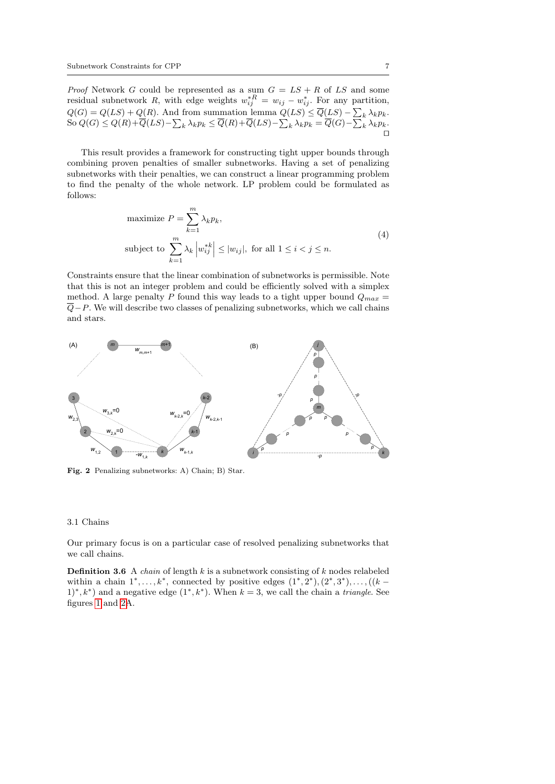*Proof* Network G could be represented as a sum  $G = LS + R$  of LS and some residual subnetwork R, with edge weights  $w_{ij}^{*R} = w_{ij} - w_{ij}^*$ . For any partition,  $Q(G) = Q(LS) + Q(R)$ . And from summation lemma  $Q(LS) \le \overline{Q}(LS) - \sum_{k} \lambda_k p_k$ . So  $Q(G) \le Q(R) + \overline{Q}(LS) - \sum_{k} \lambda_k p_k \le \overline{Q}(R) + \overline{Q}(LS) - \sum_{k} \lambda_k p_k = \overline{Q}(G) - \sum_{k} \lambda_k p_k$ .  $\Box$ 

This result provides a framework for constructing tight upper bounds through combining proven penalties of smaller subnetworks. Having a set of penalizing subnetworks with their penalties, we can construct a linear programming problem to find the penalty of the whole network. LP problem could be formulated as follows:

maximize 
$$
P = \sum_{k=1}^{m} \lambda_k p_k
$$
,  
\nsubject to 
$$
\sum_{k=1}^{m} \lambda_k \left| w_{ij}^{*k} \right| \le |w_{ij}|, \text{ for all } 1 \le i < j \le n.
$$
\n(4)

<span id="page-6-1"></span>Constraints ensure that the linear combination of subnetworks is permissible. Note that this is not an integer problem and could be efficiently solved with a simplex method. A large penalty P found this way leads to a tight upper bound  $Q_{max}$  =  $\overline{Q}-P$ . We will describe two classes of penalizing subnetworks, which we call chains and stars.



<span id="page-6-0"></span>Fig. 2 Penalizing subnetworks: A) Chain; B) Star.

#### 3.1 Chains

Our primary focus is on a particular case of resolved penalizing subnetworks that we call chains.

**Definition 3.6** A *chain* of length  $k$  is a subnetwork consisting of  $k$  nodes relabeled within a chain 1<sup>∗</sup> , . . . , k<sup>∗</sup> , connected by positive edges (1<sup>∗</sup> , 2 ∗ ),(2<sup>∗</sup> , 3 ∗ ), . . . ,((k −  $(1^*, k^*)$  and a negative edge  $(1^*, k^*)$ . When  $k = 3$ , we call the chain a *triangle*. See figures [1](#page-5-0) and [2A](#page-6-0).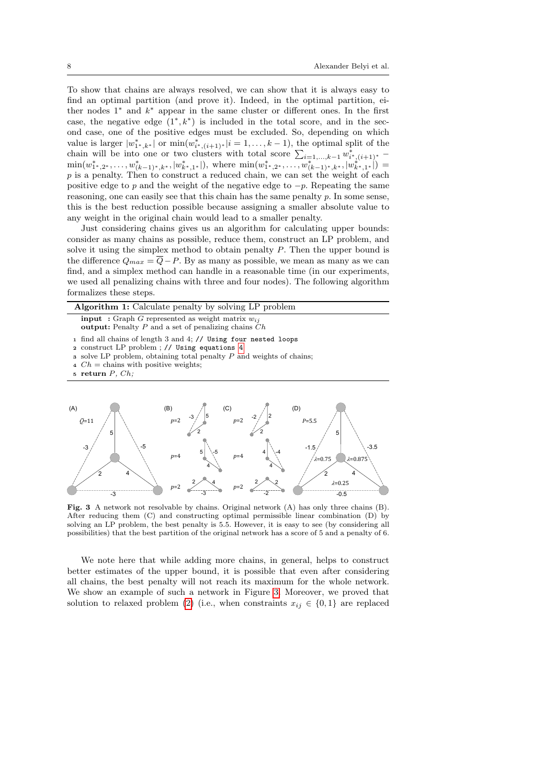To show that chains are always resolved, we can show that it is always easy to find an optimal partition (and prove it). Indeed, in the optimal partition, either nodes 1<sup>\*</sup> and  $k$ <sup>\*</sup> appear in the same cluster or different ones. In the first case, the negative edge  $(1^*, k^*)$  is included in the total score, and in the second case, one of the positive edges must be excluded. So, depending on which value is larger  $|w^*_{1^*,k^*}|$  or  $\min(w^*_{i^*,(i+1)^*}|i=1,\ldots,k-1)$ , the optimal split of the chain will be into one or two clusters with total score  $\sum_{i=1,\dots,k-1} w_{i^*,(i+1)^*}^*$  $\min(w^*_{1^*,2^*},\ldots,w^*_{(k-1)^*,k^*},|w^*_{k^*,1^*}|),$  where  $\min(w^*_{1^*,2^*},\ldots,w^*_{(k-1)^*,k^*},|w^*_{k^*,1^*}|)$  $p$  is a penalty. Then to construct a reduced chain, we can set the weight of each positive edge to p and the weight of the negative edge to  $-p$ . Repeating the same reasoning, one can easily see that this chain has the same penalty p. In some sense, this is the best reduction possible because assigning a smaller absolute value to any weight in the original chain would lead to a smaller penalty.

Just considering chains gives us an algorithm for calculating upper bounds: consider as many chains as possible, reduce them, construct an LP problem, and solve it using the simplex method to obtain penalty P. Then the upper bound is the difference  $Q_{max} = \overline{Q} - P$ . By as many as possible, we mean as many as we can find, and a simplex method can handle in a reasonable time (in our experiments, we used all penalizing chains with three and four nodes). The following algorithm formalizes these steps.

<span id="page-7-1"></span>

|                                                                                                                                                                                                                                                                           | <b>Algorithm 1:</b> Calculate penalty by solving LP problem |  |  |  |  |  |  |  |  |  |  |
|---------------------------------------------------------------------------------------------------------------------------------------------------------------------------------------------------------------------------------------------------------------------------|-------------------------------------------------------------|--|--|--|--|--|--|--|--|--|--|
| <b>input</b> : Graph G represented as weight matrix $w_{ij}$<br><b>output:</b> Penalty P and a set of penalizing chains $Ch$                                                                                                                                              |                                                             |  |  |  |  |  |  |  |  |  |  |
| 1 find all chains of length 3 and 4; // Using four nested loops<br>2 construct LP problem; // Using equations 4<br><b>s</b> solve LP problem, obtaining total penalty $P$ and weights of chains;<br>4 $Ch =$ chains with positive weights;<br>$\mathfrak s$ return P, Ch; |                                                             |  |  |  |  |  |  |  |  |  |  |
| (A)<br>$\overline{Q}$ =11                                                                                                                                                                                                                                                 | (B)<br>(C) $p=2$ $(2)$<br>$p=2$ $-3/$<br>$P = 5.5$          |  |  |  |  |  |  |  |  |  |  |



<span id="page-7-0"></span>After reducing them  $(C)$  and constructing optimal permissible linear combination  $(D)$  by Fig. 3 A network not resolvable by chains. Original network (A) has only three chains (B). solving an LP problem, the best penalty is 5.5. However, it is easy to see (by considering all possibilities) that the best partition of the original network has a score of 5 and a penalty of 6.

We note here that while adding more chains, in general, helps to construct better estimates of the upper bound, it is possible that even after considering all chains, the best penalty will not reach its maximum for the whole network. We show an example of such a network in Figure [3.](#page-7-0) Moreover, we proved that solution to relaxed problem [\(2\)](#page-3-1) (i.e., when constraints  $x_{ij} \in \{0,1\}$  are replaced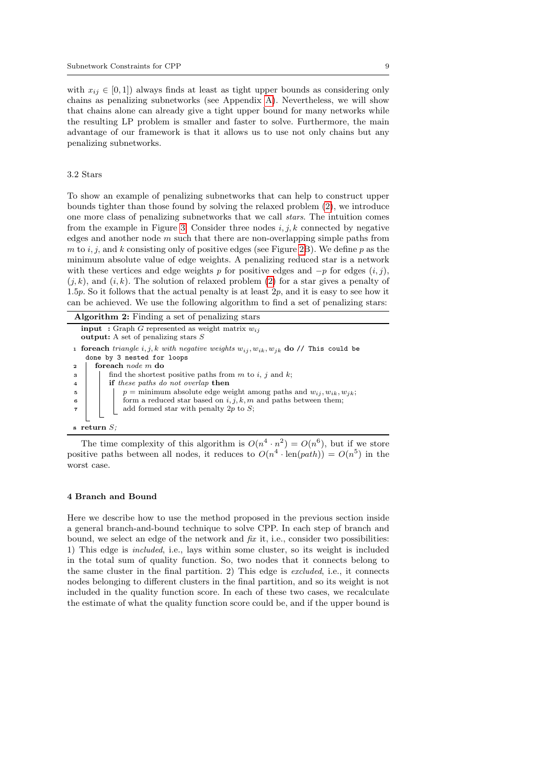with  $x_{ij} \in [0, 1]$ ) always finds at least as tight upper bounds as considering only chains as penalizing subnetworks (see Appendix [A\)](#page-16-0). Nevertheless, we will show that chains alone can already give a tight upper bound for many networks while the resulting LP problem is smaller and faster to solve. Furthermore, the main advantage of our framework is that it allows us to use not only chains but any penalizing subnetworks.

#### 3.2 Stars

To show an example of penalizing subnetworks that can help to construct upper bounds tighter than those found by solving the relaxed problem [\(2\)](#page-3-1), we introduce one more class of penalizing subnetworks that we call stars. The intuition comes from the example in Figure [3.](#page-7-0) Consider three nodes  $i, j, k$  connected by negative edges and another node  $m$  such that there are non-overlapping simple paths from m to  $i, j$ , and k consisting only of positive edges (see Figure [2B](#page-6-0)). We define p as the minimum absolute value of edge weights. A penalizing reduced star is a network with these vertices and edge weights p for positive edges and  $-p$  for edges  $(i, j)$ ,  $(i, k)$ , and  $(i, k)$ . The solution of relaxed problem [\(2\)](#page-3-1) for a star gives a penalty of 1.5p. So it follows that the actual penalty is at least 2p, and it is easy to see how it can be achieved. We use the following algorithm to find a set of penalizing stars:

| Algorithm 2: Finding a set of penalizing stars                                                               |  |  |  |  |  |  |  |
|--------------------------------------------------------------------------------------------------------------|--|--|--|--|--|--|--|
| <b>input</b> : Graph G represented as weight matrix $w_{ij}$<br><b>output:</b> A set of penalizing stars $S$ |  |  |  |  |  |  |  |
| <b>1 forward</b> triangle i, j, k with negative weights $w_{ij}$ , $w_{ik}$ , $w_{jk}$ do // This could be   |  |  |  |  |  |  |  |
| done by 3 nested for loops                                                                                   |  |  |  |  |  |  |  |
| foreach <i>node</i> m do<br>$\mathbf{2}$                                                                     |  |  |  |  |  |  |  |
| find the shortest positive paths from m to i, j and k;<br>3                                                  |  |  |  |  |  |  |  |
| if these paths do not overlap then<br>$\overline{4}$                                                         |  |  |  |  |  |  |  |
| $p =$ minimum absolute edge weight among paths and $w_{ij}, w_{ik}, w_{jk}$ ;<br>5                           |  |  |  |  |  |  |  |
| form a reduced star based on $i, j, k, m$ and paths between them;<br>6                                       |  |  |  |  |  |  |  |
| add formed star with penalty 2p to $S$ ;                                                                     |  |  |  |  |  |  |  |
|                                                                                                              |  |  |  |  |  |  |  |
| $s$ return $S$ .                                                                                             |  |  |  |  |  |  |  |

The time complexity of this algorithm is  $O(n^4 \cdot n^2) = O(n^6)$ , but if we store positive paths between all nodes, it reduces to  $O(n^4 \cdot \text{len}(path)) = O(n^5)$  in the worst case.

## <span id="page-8-0"></span>4 Branch and Bound

Here we describe how to use the method proposed in the previous section inside a general branch-and-bound technique to solve CPP. In each step of branch and bound, we select an edge of the network and  $fix$  it, i.e., consider two possibilities: 1) This edge is included, i.e., lays within some cluster, so its weight is included in the total sum of quality function. So, two nodes that it connects belong to the same cluster in the final partition. 2) This edge is excluded, i.e., it connects nodes belonging to different clusters in the final partition, and so its weight is not included in the quality function score. In each of these two cases, we recalculate the estimate of what the quality function score could be, and if the upper bound is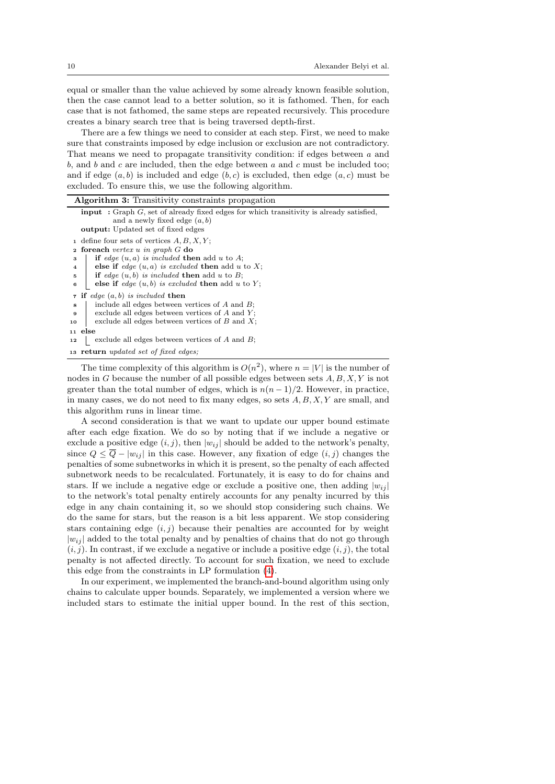equal or smaller than the value achieved by some already known feasible solution, then the case cannot lead to a better solution, so it is fathomed. Then, for each case that is not fathomed, the same steps are repeated recursively. This procedure creates a binary search tree that is being traversed depth-first.

There are a few things we need to consider at each step. First, we need to make sure that constraints imposed by edge inclusion or exclusion are not contradictory. That means we need to propagate transitivity condition: if edges between a and b, and b and c are included, then the edge between  $a$  and  $c$  must be included too; and if edge  $(a, b)$  is included and edge  $(b, c)$  is excluded, then edge  $(a, c)$  must be excluded. To ensure this, we use the following algorithm.

<span id="page-9-0"></span>

| <b>Algorithm 3:</b> Transitivity constraints propagation                                                                                                                           |
|------------------------------------------------------------------------------------------------------------------------------------------------------------------------------------|
| <b>input</b> : Graph $G$ , set of already fixed edges for which transitivity is already satisfied,<br>and a newly fixed edge $(a, b)$<br><b>output:</b> Updated set of fixed edges |
| 1 define four sets of vertices $A, B, X, Y$ ;                                                                                                                                      |
| <b>2</b> foreach vertex u in graph $G$ do                                                                                                                                          |
| if edge $(u, a)$ is included then add u to A;<br>3                                                                                                                                 |
| else if edge $(u, a)$ is excluded then add u to X;<br>$\overline{4}$                                                                                                               |
| if edge $(u, b)$ is included then add u to B;<br>5                                                                                                                                 |
| else if edge $(u, b)$ is excluded then add u to Y;<br>6                                                                                                                            |
| if edge $(a, b)$ is included then<br>$\overline{7}$                                                                                                                                |
| include all edges between vertices of $A$ and $B$ ;<br>8                                                                                                                           |
| exclude all edges between vertices of $A$ and $Y$ ;<br>9                                                                                                                           |
| exclude all edges between vertices of $B$ and $X$ ;<br>10                                                                                                                          |
| 11 else                                                                                                                                                                            |
| exclude all edges between vertices of $A$ and $B$ ;<br>12                                                                                                                          |
| 13 <b>return</b> updated set of fixed edges;                                                                                                                                       |
| The time completion of this classified is $O(.2)$ orders $\alpha = \lfloor \frac{1}{2} \rfloor$ is the number                                                                      |

The time complexity of this algorithm is  $O(n^2)$ , where  $n = |V|$  is the number of nodes in G because the number of all possible edges between sets  $A, B, X, Y$  is not greater than the total number of edges, which is  $n(n-1)/2$ . However, in practice, in many cases, we do not need to fix many edges, so sets  $A, B, X, Y$  are small, and this algorithm runs in linear time.

A second consideration is that we want to update our upper bound estimate after each edge fixation. We do so by noting that if we include a negative or exclude a positive edge  $(i, j)$ , then  $|w_{ij}|$  should be added to the network's penalty, since  $Q \le \overline{Q} - |w_{ij}|$  in this case. However, any fixation of edge  $(i, j)$  changes the penalties of some subnetworks in which it is present, so the penalty of each affected subnetwork needs to be recalculated. Fortunately, it is easy to do for chains and stars. If we include a negative edge or exclude a positive one, then adding  $|w_{ij}|$ to the network's total penalty entirely accounts for any penalty incurred by this edge in any chain containing it, so we should stop considering such chains. We do the same for stars, but the reason is a bit less apparent. We stop considering stars containing edge  $(i, j)$  because their penalties are accounted for by weight  $|w_{ij}|$  added to the total penalty and by penalties of chains that do not go through  $(i, j)$ . In contrast, if we exclude a negative or include a positive edge  $(i, j)$ , the total penalty is not affected directly. To account for such fixation, we need to exclude this edge from the constraints in LP formulation [\(4\)](#page-6-1).

In our experiment, we implemented the branch-and-bound algorithm using only chains to calculate upper bounds. Separately, we implemented a version where we included stars to estimate the initial upper bound. In the rest of this section,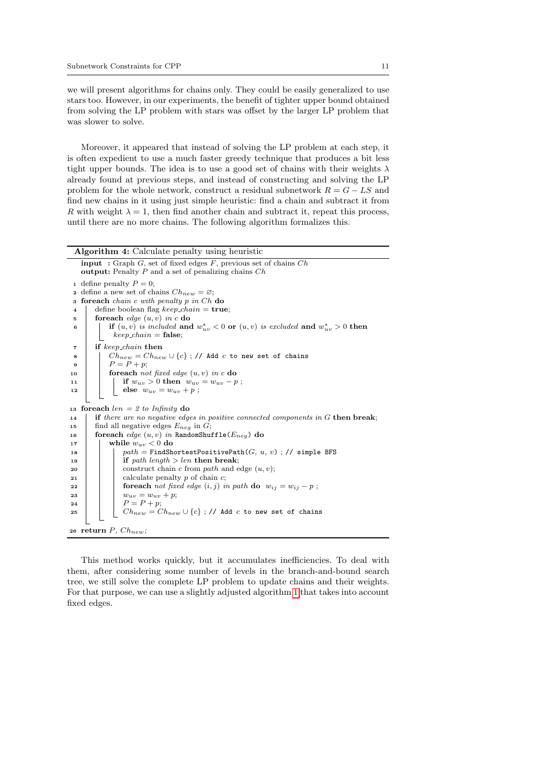we will present algorithms for chains only. They could be easily generalized to use stars too. However, in our experiments, the benefit of tighter upper bound obtained from solving the LP problem with stars was offset by the larger LP problem that was slower to solve.

Moreover, it appeared that instead of solving the LP problem at each step, it is often expedient to use a much faster greedy technique that produces a bit less tight upper bounds. The idea is to use a good set of chains with their weights  $\lambda$ already found at previous steps, and instead of constructing and solving the LP problem for the whole network, construct a residual subnetwork  $R = G - LS$  and find new chains in it using just simple heuristic: find a chain and subtract it from R with weight  $\lambda = 1$ , then find another chain and subtract it, repeat this process, until there are no more chains. The following algorithm formalizes this.

```
Algorithm 4: Calculate penalty using heuristic
    input : Graph G, set of fixed edges F, previous set of chains Choutput: Penalty P and a set of penalizing chains Ch1 define penalty P=0;
   define a new set of chains Ch_{new} = \varnothing;
 3 foreach chain c with penalty p in Ch do
 4 define boolean flag keep_chain = true;\mathfrak{g} foreach edge (u, v) in c do
 6 if (u, v) is included and w^*_{uv} < 0 or (u, v) is excluded and w^*_{uv} > 0 then
             keep\_chain = false;7 if keep chain then
 8 \begin{array}{|c|c|c|c|c|}\n\hline\n8 & 6 & 6 \\
\hline\n\end{array} Ch<sub>new</sub> = Ch<sub>new</sub> ∪ {c} ; // Add c to new set of chains
 \begin{array}{c|c} \bullet & \bullet \\ \hline \bullet & \bullet \end{array} \begin{array}{c} \bullet & \bullet \\ \bullet & \bullet \end{array}10 foreach not fixed edge (u, v) in c do
11 if w_{uv} > 0 then w_{uv} = w_{uv} - p;
12 else w_{uv} = w_{uv} + p;
13 foreach len = 2 to Infinity do
14 if there are no negative edges in positive connected components in G then break;
15 find all negative edges E_{neg} in G;
16 foreach edge (u, v) in RandomShuffle(E_{neg}) do <br>17 while w_{uv} < 0 do
            while w_{uv} < 0 do
18 | | path = FindShortestPositivePath(G, u, v) ; // simple BFS
19 | | if path length > len then break;
20 | construct chain c from path and edge (u, v);
21 | calculate penalty p of chain c;
22 foreach not fixed edge (i, j) in path do w_{ij} = w_{ij} - p;
23 w_{uv} = w_{uv} + p;<br>
24 P = P + p;\overline{P} = P + p;25 \bigcup Ch_{new} = Ch_{new} \cup \{c\}; // Add c to new set of chains
26 return P, Ch_{new};
```
This method works quickly, but it accumulates inefficiencies. To deal with them, after considering some number of levels in the branch-and-bound search tree, we still solve the complete LP problem to update chains and their weights. For that purpose, we can use a slightly adjusted algorithm [1](#page-7-1) that takes into account fixed edges.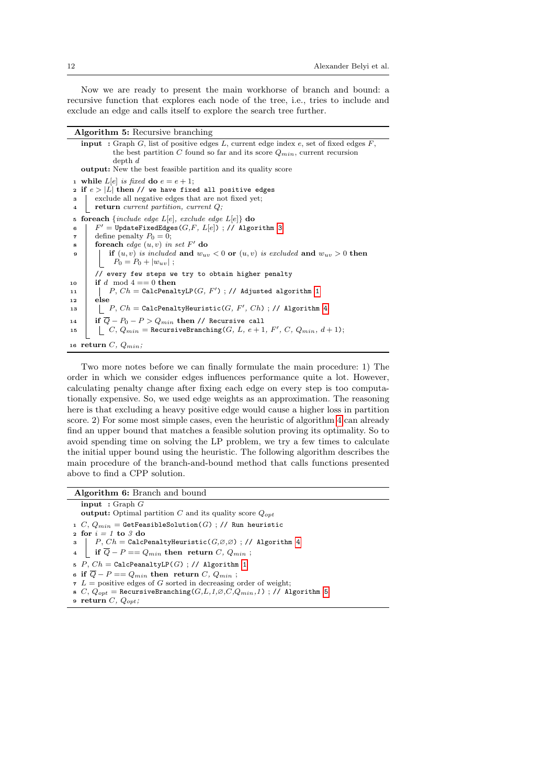Now we are ready to present the main workhorse of branch and bound: a recursive function that explores each node of the tree, i.e., tries to include and exclude an edge and calls itself to explore the search tree further.

| Algorithm 5: Recursive branching |  |  |
|----------------------------------|--|--|
|----------------------------------|--|--|

<span id="page-11-0"></span>

| <b>input</b> : Graph G, list of positive edges L, current edge index e, set of fixed edges $F$ ,<br>the best partition C found so far and its score $Q_{min}$ , current recursion |
|-----------------------------------------------------------------------------------------------------------------------------------------------------------------------------------|
| depth d                                                                                                                                                                           |
| <b>output:</b> New the best feasible partition and its quality score                                                                                                              |
| 1 while $L[e]$ is fixed do $e = e + 1$ ;                                                                                                                                          |
| 2 if $e >  L $ then // we have fixed all positive edges                                                                                                                           |
| exclude all negative edges that are not fixed yet;<br>3                                                                                                                           |
| return current partition, current $Q$ ;<br>4                                                                                                                                      |
| <b>foreach</b> { <i>include edge L[e]</i> , <i>exclude edge L[e]</i> } <b>do</b><br>5                                                                                             |
| $F' = \texttt{UpdateFixedEdges}(G, F, L[e])$ ; // Algorithm 3<br>6                                                                                                                |
| define penalty $P_0 = 0$ ;<br>7                                                                                                                                                   |
| foreach edge $(u, v)$ in set F' do<br>8                                                                                                                                           |
| if $(u, v)$ is included and $w_{uv} < 0$ or $(u, v)$ is excluded and $w_{uv} > 0$ then<br>9                                                                                       |
| $P_0 = P_0 +  w_{uv} $ ;                                                                                                                                                          |
| // every few steps we try to obtain higher penalty                                                                                                                                |
| if d mod $4 == 0$ then<br>10                                                                                                                                                      |
| P, $Ch =$ CalcPenaltyLP(G, F'); // Adjusted algorithm 1<br>11                                                                                                                     |
| else<br>12                                                                                                                                                                        |
| $P, Ch =$ CalcPenaltyHeuristic( $G, F', Ch$ ); // Algorithm 4<br>13                                                                                                               |
| if $Q - P_0 - P > Q_{min}$ then // Recursive call<br>14                                                                                                                           |
| $\vert C, Q_{min}$ = RecursiveBranching( <i>G</i> , <i>L</i> , <i>e</i> + 1, <i>F'</i> , <i>C</i> , $Q_{min}$ , <i>d</i> + 1);<br>15                                              |
| 16 return C, $Q_{min}$ ;                                                                                                                                                          |

Two more notes before we can finally formulate the main procedure: 1) The order in which we consider edges influences performance quite a lot. However, calculating penalty change after fixing each edge on every step is too computationally expensive. So, we used edge weights as an approximation. The reasoning here is that excluding a heavy positive edge would cause a higher loss in partition score. 2) For some most simple cases, even the heuristic of algorithm [4](#page-10-0) can already find an upper bound that matches a feasible solution proving its optimality. So to avoid spending time on solving the LP problem, we try a few times to calculate the initial upper bound using the heuristic. The following algorithm describes the main procedure of the branch-and-bound method that calls functions presented above to find a CPP solution.

Algorithm 6: Branch and bound

 $\overline{\text{input}}$  : Graph  $G$ output: Optimal partition  $C$  and its quality score  $Q_{opt}$ 1 C,  $Q_{min}$  = GetFeasibleSolution(G) ; // Run heuristic 2 for  $i = 1$  to 3 do 3  $\vert P, Ch = \text{CalcPenaltyHeuristic}(G, \varnothing, \varnothing)$ ; // Algorithm [4](#page-10-0) 4 if  $\overline{Q} - P = Q_{min}$  then return C,  $Q_{min}$ ; 5  $P$ ,  $Ch =$  CalcPeanaltyLP( $G$ ) ; // Algorithm [1](#page-7-1) 6 if  $\overline{Q} - P = Q_{min}$  then return C,  $Q_{min}$ ;  $\tau L$  = positive edges of G sorted in decreasing order of weight;

- 8 C,  $Q_{opt}$  = RecursiveBranching( $G, L, 1, \varnothing, C, Q_{min}, 1)$  ; // Algorithm [5](#page-11-0)
- 9 return  $C, Q_{opt}$ ;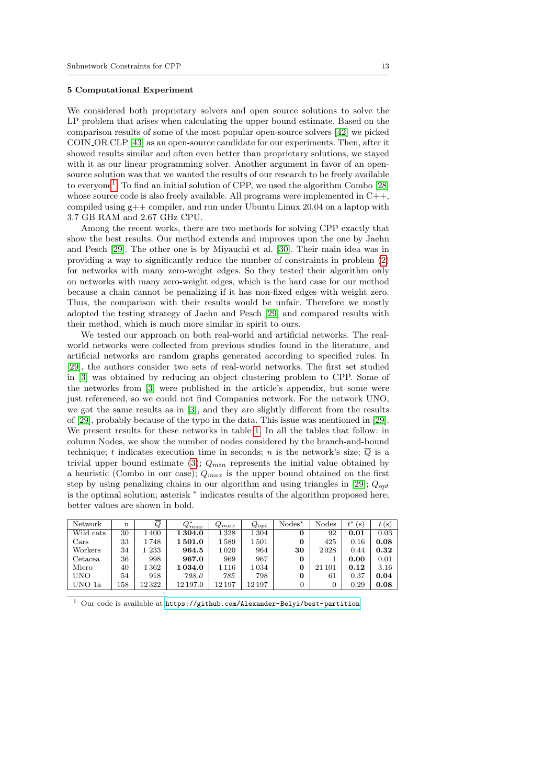#### 5 Computational Experiment

We considered both proprietary solvers and open source solutions to solve the LP problem that arises when calculating the upper bound estimate. Based on the comparison results of some of the most popular open-source solvers [\[42\]](#page-19-12) we picked COIN OR CLP [\[43\]](#page-19-13) as an open-source candidate for our experiments. Then, after it showed results similar and often even better than proprietary solutions, we stayed with it as our linear programming solver. Another argument in favor of an opensource solution was that we wanted the results of our research to be freely available to everyone<sup>[1](#page-12-0)</sup>. To find an initial solution of CPP, we used the algorithm Combo [\[28\]](#page-18-15) whose source code is also freely available. All programs were implemented in  $C_{++}$ , compiled using  $g++$  compiler, and run under Ubuntu Linux 20.04 on a laptop with 3.7 GB RAM and 2.67 GHz CPU.

Among the recent works, there are two methods for solving CPP exactly that show the best results. Our method extends and improves upon the one by Jaehn and Pesch [\[29\]](#page-18-16). The other one is by Miyauchi et al. [\[30\]](#page-19-0). Their main idea was in providing a way to significantly reduce the number of constraints in problem [\(2\)](#page-3-1) for networks with many zero-weight edges. So they tested their algorithm only on networks with many zero-weight edges, which is the hard case for our method because a chain cannot be penalizing if it has non-fixed edges with weight zero. Thus, the comparison with their results would be unfair. Therefore we mostly adopted the testing strategy of Jaehn and Pesch [\[29\]](#page-18-16) and compared results with their method, which is much more similar in spirit to ours.

We tested our approach on both real-world and artificial networks. The realworld networks were collected from previous studies found in the literature, and artificial networks are random graphs generated according to specified rules. In [\[29\]](#page-18-16), the authors consider two sets of real-world networks. The first set studied in [\[3\]](#page-17-2) was obtained by reducing an object clustering problem to CPP. Some of the networks from [\[3\]](#page-17-2) were published in the article's appendix, but some were just referenced, so we could not find Companies network. For the network UNO, we got the same results as in [\[3\]](#page-17-2), and they are slightly different from the results of [\[29\]](#page-18-16), probably because of the typo in the data. This issue was mentioned in [\[29\]](#page-18-16). We present results for these networks in table [1.](#page-12-1) In all the tables that follow: in column Nodes, we show the number of nodes considered by the branch-and-bound technique; t indicates execution time in seconds; n is the network's size;  $\overline{Q}$  is a trivial upper bound estimate [\(3\)](#page-4-0);  $Q_{min}$  represents the initial value obtained by a heuristic (Combo in our case);  $Q_{max}$  is the upper bound obtained on the first step by using penalizing chains in our algorithm and using triangles in [\[29\]](#page-18-16);  $Q_{opt}$ is the optimal solution; asterisk <sup>∗</sup> indicates results of the algorithm proposed here; better values are shown in bold.

<span id="page-12-1"></span>

| Network     | n   | Q      | $Q_{max}^*$ | $Q_{max}$ | $Q_{opt}$ | $\text{Nodes}^*$ | Nodes  | $t^*$<br>(S) | t(s) |
|-------------|-----|--------|-------------|-----------|-----------|------------------|--------|--------------|------|
| Wild cats   | 30  | .400   | 1 304.0     | $1\,328$  | 1 304     | 0                | 92     | 0.01         | 0.03 |
| $\rm{Cars}$ | 33  | 1748   | 1501.0      | 1589      | 1501      | 0                | 425    | 0.16         | 0.08 |
| Workers     | 34  | 1 233  | 964.5       | 1020      | 964       | 30               | 2028   | 0.44         | 0.32 |
| Cetacea     | 36  | 998    | 967.0       | 969       | 967       | 0                |        | 0.00         | 0.01 |
| Micro       | 40  | 1362   | 1034.0      | 1116      | 1034      | 0                | 21 101 | 0.12         | 3.16 |
| UNO         | 54  | 918    | 798.0       | 785       | 798       | 0                | 61     | 0.37         | 0.04 |
| UNO 1a      | 158 | 12 322 | 12 197.0    | 12 197    | 12 197    | 0                |        | 0.29         | 0.08 |

<span id="page-12-0"></span> $^{\rm 1}$  Our code is available at  ${\tt https://github.com/Alexander-Belyi/best-partition}$  ${\tt https://github.com/Alexander-Belyi/best-partition}$  ${\tt https://github.com/Alexander-Belyi/best-partition}$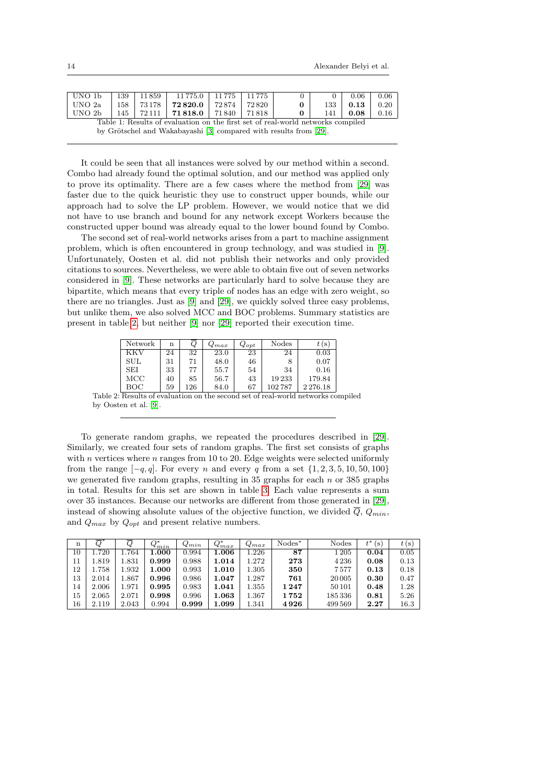| UNO 1b                                                                          | 139 |  | 11859   11775.0   11775   11775                  |               |  |   |     | 0.06 | 0.06 |  |
|---------------------------------------------------------------------------------|-----|--|--------------------------------------------------|---------------|--|---|-----|------|------|--|
| UNO 2a                                                                          |     |  | $158$   $73178$   $72820.0$                      | 72874   72820 |  | 0 | 133 | 0.13 | 0.20 |  |
| UNO 2b                                                                          |     |  | $145$   $72111$   <b>71818.0</b>   71840   71818 |               |  |   | 141 | 0.08 | 0.16 |  |
| Table 1: Results of evaluation on the first set of real-world networks compiled |     |  |                                                  |               |  |   |     |      |      |  |
| by Grötschel and Wakabayashi [3] compared with results from [29].               |     |  |                                                  |               |  |   |     |      |      |  |

It could be seen that all instances were solved by our method within a second. Combo had already found the optimal solution, and our method was applied only to prove its optimality. There are a few cases where the method from [\[29\]](#page-18-16) was faster due to the quick heuristic they use to construct upper bounds, while our approach had to solve the LP problem. However, we would notice that we did not have to use branch and bound for any network except Workers because the constructed upper bound was already equal to the lower bound found by Combo.

The second set of real-world networks arises from a part to machine assignment problem, which is often encountered in group technology, and was studied in [\[9\]](#page-17-8). Unfortunately, Oosten et al. did not publish their networks and only provided citations to sources. Nevertheless, we were able to obtain five out of seven networks considered in [\[9\]](#page-17-8). These networks are particularly hard to solve because they are bipartite, which means that every triple of nodes has an edge with zero weight, so there are no triangles. Just as [\[9\]](#page-17-8) and [\[29\]](#page-18-16), we quickly solved three easy problems, but unlike them, we also solved MCC and BOC problems. Summary statistics are present in table [2,](#page-13-0) but neither [\[9\]](#page-17-8) nor [\[29\]](#page-18-16) reported their execution time.

<span id="page-13-0"></span>

| Network    | n  | Ų   | $Q_{max}$ | $Q_{opt}$ | Nodes  | t (s      |
|------------|----|-----|-----------|-----------|--------|-----------|
| KKV        | 24 | 32  | 23.0      | 23        | 24     | 0.03      |
| <b>SUL</b> | 31 | 71  | 48.0      | 46        |        | 0.07      |
| SEI        | 33 | 77  | 55.7      | 54        | 34     | 0.16      |
| MCC        | 40 | 85  | 56.7      | 43        | 19233  | 179.84    |
| BOC        | 59 | 126 | 84.0      | 67        | 102787 | 2 2 76.18 |

Table 2: Results of evaluation on the second set of real-world networks compiled by Oosten et al. [\[9\]](#page-17-8).

To generate random graphs, we repeated the procedures described in [\[29\]](#page-18-16). Similarly, we created four sets of random graphs. The first set consists of graphs with  $n$  vertices where  $n$  ranges from 10 to 20. Edge weights were selected uniformly from the range  $[-q, q]$ . For every n and every q from a set  $\{1, 2, 3, 5, 10, 50, 100\}$ we generated five random graphs, resulting in 35 graphs for each  $n$  or 385 graphs in total. Results for this set are shown in table [3.](#page-13-1) Each value represents a sum over 35 instances. Because our networks are different from those generated in [\[29\]](#page-18-16), instead of showing absolute values of the objective function, we divided  $\overline{Q}$ ,  $Q_{min}$ , and  $Q_{max}$  by  $Q_{opt}$  and present relative numbers.

<span id="page-13-1"></span>

| n      |       |       | $Q_{min}^*$ | $Q_{min}$ | $Q_{max}^*$ | $Q_{max}$ | $\text{Nodes}^*$ | Nodes    | $+$ *<br>(S)<br>ι | t(s) |
|--------|-------|-------|-------------|-----------|-------------|-----------|------------------|----------|-------------------|------|
| $10\,$ | .720  | 1.764 | 1.000       | 0.994     | 1.006       | .226      | 87               | $1\,205$ | 0.04              | 0.05 |
| 11     | 1.819 | 1.831 | 0.999       | 0.988     | 1.014       | 272       | 273              | 4236     | 0.08              | 0.13 |
| 12     | .758  | 1.932 | 1.000       | 0.993     | 1.010       | 1.305     | 350              | 7577     | 0.13              | 0.18 |
| 13     | 2.014 | L.867 | 0.996       | 0.986     | 1.047       | 287       | 761              | 20 005   | 0.30              | 0.47 |
| 14     | 2.006 | 1.971 | 0.995       | 0.983     | 1.041       | $1.355\,$ | 1247             | 50101    | 0.48              | 1.28 |
| 15     | 2.065 | 2.071 | 0.998       | 0.996     | 1.063       | . 367     | 1752             | 185336   | 0.81              | 5.26 |
| 16     | 2.119 | 2.043 | 0.994       | 0.999     | 1.099       | 1.341     | 4926             | 499569   | 2.27              | 16.3 |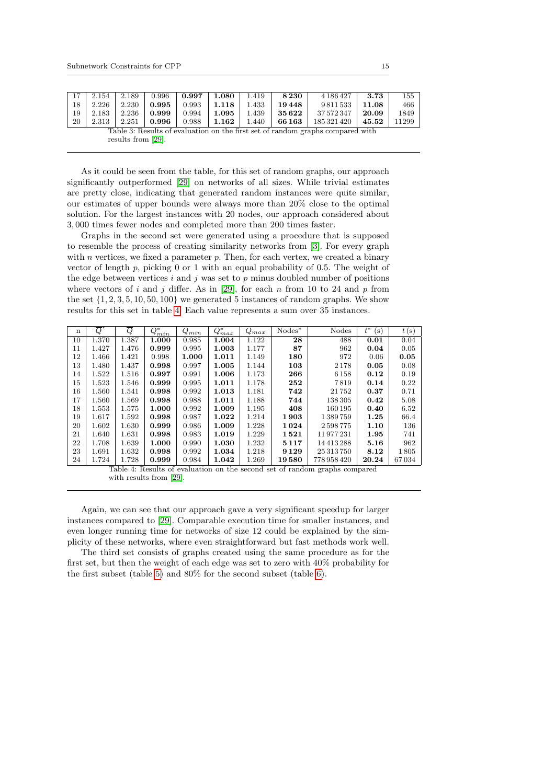|    | 2.154                                                                          | 2.189 | 0.996 | 0.997 | 1.080 | 1.419 | 8230   | 4 186 427   | 3.73  | 155   |
|----|--------------------------------------------------------------------------------|-------|-------|-------|-------|-------|--------|-------------|-------|-------|
| 18 | 2.226                                                                          | 2.230 | 0.995 | 0.993 | 1.118 | 1.433 | 19448  | 9811533     | 11.08 | 466   |
| 19 | 2.183                                                                          | 2.236 | 0.999 | 0.994 | 1.095 | 1.439 | 35 622 | 37 572 347  | 20.09 | 1849  |
| 20 | 2.313                                                                          | 2.251 | 0.996 | 0.988 | 1.162 | 1.440 | 66163  | 185 321 420 | 45.52 | 11299 |
|    | Table 3: Results of evaluation on the first set of random graphs compared with |       |       |       |       |       |        |             |       |       |
|    | results from $[29]$ .                                                          |       |       |       |       |       |        |             |       |       |

As it could be seen from the table, for this set of random graphs, our approach significantly outperformed [\[29\]](#page-18-16) on networks of all sizes. While trivial estimates are pretty close, indicating that generated random instances were quite similar, our estimates of upper bounds were always more than 20% close to the optimal solution. For the largest instances with 20 nodes, our approach considered about 3, 000 times fewer nodes and completed more than 200 times faster.

Graphs in the second set were generated using a procedure that is supposed to resemble the process of creating similarity networks from [\[3\]](#page-17-2). For every graph with  $n$  vertices, we fixed a parameter  $p$ . Then, for each vertex, we created a binary vector of length p, picking 0 or 1 with an equal probability of 0.5. The weight of the edge between vertices i and j was set to  $p$  minus doubled number of positions where vectors of i and j differ. As in [\[29\]](#page-18-16), for each n from 10 to 24 and p from the set  $\{1, 2, 3, 5, 10, 50, 100\}$  we generated 5 instances of random graphs. We show results for this set in table [4.](#page-14-0) Each value represents a sum over 35 instances.

<span id="page-14-0"></span>

| $\mathbf n$ | $\overline{Q}$ | Q     | O*<br>$\mathcal{L}_{min}$ | $Q_{min}$ | $Q_{max}^*$ | $Q_{max}$ | $Nodes*$ | Nodes      | $t^*$<br>$(\rm s)$ | t(s)  |
|-------------|----------------|-------|---------------------------|-----------|-------------|-----------|----------|------------|--------------------|-------|
| 10          | 1.370          | 1.387 | 1.000                     | 0.985     | 1.004       | 1.122     | 28       | 488        | 0.01               | 0.04  |
| 11          | 1.427          | 1.476 | 0.999                     | 0.995     | 1.003       | 1.177     | 87       | 962        | 0.04               | 0.05  |
| 12          | 1.466          | 1.421 | 0.998                     | 1.000     | 1.011       | 1.149     | 180      | 972        | 0.06               | 0.05  |
| 13          | 1.480          | 1.437 | 0.998                     | 0.997     | 1.005       | 1.144     | 103      | 2178       | 0.05               | 0.08  |
| 14          | 1.522          | 1.516 | 0.997                     | 0.991     | 1.006       | 1.173     | 266      | 6 1 5 8    | 0.12               | 0.19  |
| 15          | 1.523          | 1.546 | 0.999                     | 0.995     | 1.011       | 1.178     | 252      | 7819       | 0.14               | 0.22  |
| 16          | 1.560          | 1.541 | 0.998                     | 0.992     | 1.013       | 1.181     | 742      | 21752      | 0.37               | 0.71  |
| 17          | 1.560          | 1.569 | 0.998                     | 0.988     | 1.011       | 1.188     | 744      | 138 305    | 0.42               | 5.08  |
| 18          | 1.553          | 1.575 | 1.000                     | 0.992     | 1.009       | 1.195     | 408      | 160195     | 0.40               | 6.52  |
| 19          | 1.617          | 1.592 | 0.998                     | 0.987     | 1.022       | 1.214     | 1903     | 1389759    | 1.25               | 66.4  |
| 20          | 1.602          | 1.630 | 0.999                     | 0.986     | 1.009       | 1.228     | 1024     | 2598775    | 1.10               | 136   |
| 21          | 1.640          | 1.631 | 0.998                     | 0.983     | 1.019       | 1.229     | 1521     | 11977231   | 1.95               | 741   |
| 22          | 1.708          | 1.639 | 1.000                     | 0.990     | 1.030       | 1.232     | 5117     | 14413288   | 5.16               | 962   |
| 23          | 1.691          | 1.632 | 0.998                     | 0.992     | 1.034       | 1.218     | 9 1 2 9  | 25 313 750 | 8.12               | 1805  |
| 24          | 1.724          | 1.728 | 0.999                     | 0.984     | 1.042       | 1.269     | 19580    | 778958420  | 20.24              | 67034 |

Table 4: Results of evaluation on the second set of random graphs compared with results from [\[29\]](#page-18-16).

Again, we can see that our approach gave a very significant speedup for larger instances compared to [\[29\]](#page-18-16). Comparable execution time for smaller instances, and even longer running time for networks of size 12 could be explained by the simplicity of these networks, where even straightforward but fast methods work well.

The third set consists of graphs created using the same procedure as for the first set, but then the weight of each edge was set to zero with 40% probability for the first subset (table [5\)](#page-15-0) and 80% for the second subset (table [6\)](#page-15-1).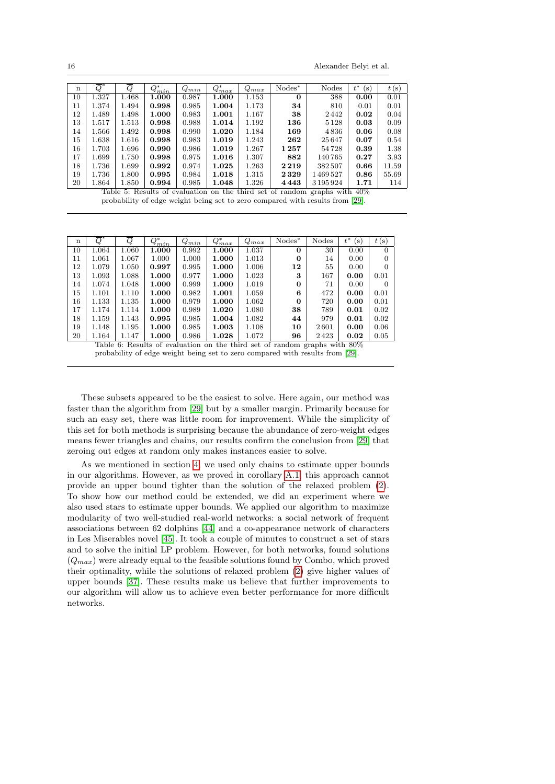16 Alexander Belyi et al.

<span id="page-15-0"></span>

| $\mathbf n$ | Q     | Q     | $Q^{*}_{min}$ | $Q_{min}$ | $Q_{max}^*$ | $Q_{max}$ | $Nodes^*$ | Nodes                                                                        | $t^*$<br>$(\rm s)$ | t(s)  |
|-------------|-------|-------|---------------|-----------|-------------|-----------|-----------|------------------------------------------------------------------------------|--------------------|-------|
| 10          | 1.327 | 1.468 | 1.000         | 0.987     | 1.000       | 1.153     | 0         | 388                                                                          | 0.00               | 0.01  |
| 11          | 1.374 | 1.494 | 0.998         | 0.985     | 1.004       | 1.173     | 34        | 810                                                                          | 0.01               | 0.01  |
| 12          | 1.489 | 1.498 | 1.000         | 0.983     | 1.001       | 1.167     | 38        | 2442                                                                         | 0.02               | 0.04  |
| 13          | 1.517 | 1.513 | 0.998         | 0.988     | 1.014       | 1.192     | 136       | 5128                                                                         | 0.03               | 0.09  |
| 14          | 1.566 | 1.492 | 0.998         | 0.990     | 1.020       | 1.184     | 169       | 4836                                                                         | 0.06               | 0.08  |
| 15          | 1.638 | 1.616 | 0.998         | 0.983     | 1.019       | 1.243     | 262       | 25647                                                                        | 0.07               | 0.54  |
| 16          | 1.703 | 1.696 | 0.990         | 0.986     | 1.019       | 1.267     | 1257      | 54728                                                                        | 0.39               | 1.38  |
| 17          | 1.699 | 1.750 | 0.998         | 0.975     | 1.016       | 1.307     | 882       | 140765                                                                       | 0.27               | 3.93  |
| 18          | 1.736 | 1.699 | 0.992         | 0.974     | 1.025       | 1.263     | 2219      | 382507                                                                       | 0.66               | 11.59 |
| 19          | 1.736 | 1.800 | 0.995         | 0.984     | 1.018       | 1.315     | 2329      | 1469527                                                                      | 0.86               | 55.69 |
| 20          | 1.864 | 1.850 | 0.994         | 0.985     | 1.048       | 1.326     | 4443      | 3195924                                                                      | 1.71               | 114   |
|             |       |       |               |           |             |           |           | Table 5: Results of evaluation on the third set of random graphs with $40\%$ |                    |       |

probability of edge weight being set to zero compared with results from [\[29\]](#page-18-16).

<span id="page-15-1"></span>

| n  | O                                                                            | Q     | $Q_{min}^*$ | $Q_{min}$ | $Q_{max}^*$ | $Q_{max}$ | $Nodes^*$ | <b>Nodes</b> | $t^*$<br>$(\mathrm{s})$ | t(s)     |  |
|----|------------------------------------------------------------------------------|-------|-------------|-----------|-------------|-----------|-----------|--------------|-------------------------|----------|--|
| 10 | 1.064                                                                        | 1.060 | 1.000       | 0.992     | 1.000       | 1.037     | $\Omega$  | 30           | 0.00                    | $\Omega$ |  |
| 11 | 1.061                                                                        | 1.067 | 1.000       | 1.000     | 1.000       | 1.013     | 0         | 14           | 0.00                    | 0        |  |
| 12 | 1.079                                                                        | 1.050 | 0.997       | 0.995     | 1.000       | 1.006     | 12        | 55           | 0.00                    | $\theta$ |  |
| 13 | 1.093                                                                        | 1.088 | 1.000       | 0.977     | 1.000       | 1.023     | 3         | 167          | 0.00                    | 0.01     |  |
| 14 | 1.074                                                                        | 1.048 | 1.000       | 0.999     | 1.000       | 1.019     | $\Omega$  | 71           | 0.00                    | $\theta$ |  |
| 15 | 1.101                                                                        | 1.110 | 1.000       | 0.982     | 1.001       | 1.059     | 6         | 472          | 0.00                    | 0.01     |  |
| 16 | 1.133                                                                        | 1.135 | 1.000       | 0.979     | 1.000       | 1.062     | $\Omega$  | 720          | 0.00                    | 0.01     |  |
| 17 | 1.174                                                                        | 1.114 | 1.000       | 0.989     | 1.020       | 1.080     | 38        | 789          | 0.01                    | 0.02     |  |
| 18 | 1.159                                                                        | 1.143 | 0.995       | 0.985     | 1.004       | 1.082     | 44        | 979          | 0.01                    | 0.02     |  |
| 19 | 1.148                                                                        | 1.195 | 1.000       | 0.985     | 1.003       | 1.108     | 10        | 2601         | 0.00                    | 0.06     |  |
| 20 | 1.164                                                                        | 1.147 | 1.000       | 0.986     | 1.028       | 1.072     | 96        | 2423         | 0.02                    | 0.05     |  |
|    | Table 6: Results of evaluation on the third set of random graphs with $80\%$ |       |             |           |             |           |           |              |                         |          |  |

probability of edge weight being set to zero compared with results from [\[29\]](#page-18-16).

These subsets appeared to be the easiest to solve. Here again, our method was faster than the algorithm from [\[29\]](#page-18-16) but by a smaller margin. Primarily because for such an easy set, there was little room for improvement. While the simplicity of this set for both methods is surprising because the abundance of zero-weight edges means fewer triangles and chains, our results confirm the conclusion from [\[29\]](#page-18-16) that zeroing out edges at random only makes instances easier to solve.

As we mentioned in section [4,](#page-8-0) we used only chains to estimate upper bounds in our algorithms. However, as we proved in corollary [A.1,](#page-17-12) this approach cannot provide an upper bound tighter than the solution of the relaxed problem [\(2\)](#page-3-1). To show how our method could be extended, we did an experiment where we also used stars to estimate upper bounds. We applied our algorithm to maximize modularity of two well-studied real-world networks: a social network of frequent associations between 62 dolphins [\[44\]](#page-19-14) and a co-appearance network of characters in Les Miserables novel [\[45\]](#page-19-15). It took a couple of minutes to construct a set of stars and to solve the initial LP problem. However, for both networks, found solutions  $(Q_{max})$  were already equal to the feasible solutions found by Combo, which proved their optimality, while the solutions of relaxed problem [\(2\)](#page-3-1) give higher values of upper bounds [\[37\]](#page-19-7). These results make us believe that further improvements to our algorithm will allow us to achieve even better performance for more difficult networks.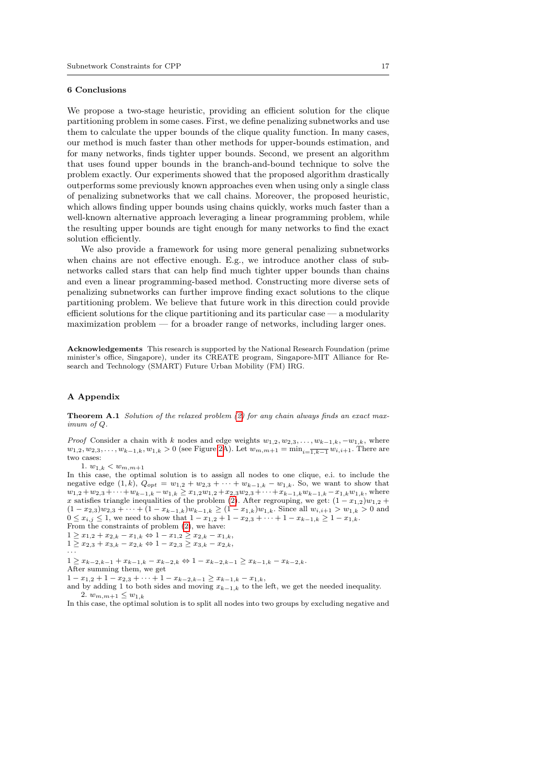#### 6 Conclusions

We propose a two-stage heuristic, providing an efficient solution for the clique partitioning problem in some cases. First, we define penalizing subnetworks and use them to calculate the upper bounds of the clique quality function. In many cases, our method is much faster than other methods for upper-bounds estimation, and for many networks, finds tighter upper bounds. Second, we present an algorithm that uses found upper bounds in the branch-and-bound technique to solve the problem exactly. Our experiments showed that the proposed algorithm drastically outperforms some previously known approaches even when using only a single class of penalizing subnetworks that we call chains. Moreover, the proposed heuristic, which allows finding upper bounds using chains quickly, works much faster than a well-known alternative approach leveraging a linear programming problem, while the resulting upper bounds are tight enough for many networks to find the exact solution efficiently.

We also provide a framework for using more general penalizing subnetworks when chains are not effective enough. E.g., we introduce another class of subnetworks called stars that can help find much tighter upper bounds than chains and even a linear programming-based method. Constructing more diverse sets of penalizing subnetworks can further improve finding exact solutions to the clique partitioning problem. We believe that future work in this direction could provide efficient solutions for the clique partitioning and its particular case  $-$  a modularity maximization problem –– for a broader range of networks, including larger ones.

Acknowledgements This research is supported by the National Research Foundation (prime minister's office, Singapore), under its CREATE program, Singapore-MIT Alliance for Research and Technology (SMART) Future Urban Mobility (FM) IRG.

## <span id="page-16-0"></span>A Appendix

**Theorem A.1** Solution of the relaxed problem  $(2)$  for any chain always finds an exact maximum of Q.

*Proof* Consider a chain with k nodes and edge weights  $w_{1,2}, w_{2,3}, \ldots, w_{k-1,k}, -w_{1,k}$ , where  $w_{1,2}, w_{2,3}, \ldots, w_{k-1,k}, w_{1,k} > 0$  (see Figure [2A](#page-6-0)). Let  $w_{m,m+1} = \min_{i=\overline{1,k-1}} w_{i,i+1}$ . There are two cases:

1.  $w_{1,k} < w_{m,m+1}$ 

In this case, the optimal solution is to assign all nodes to one clique, e.i. to include the negative edge  $(1, k)$ ,  $Q_{opt} = w_{1,2} + w_{2,3} + \cdots + w_{k-1,k} - w_{1,k}$ . So, we want to show that  $w_{1,2} + w_{2,3} + \cdots + w_{k-1,k} - w_{1,k} \geq x_{1,2}w_{1,2} + x_{2,3}w_{2,3} + \cdots + x_{k-1,k}w_{k-1,k} - x_{1,k}w_{1,k}$ , where x satisfies triangle inequalities of the problem [\(2\)](#page-3-1). After regrouping, we get:  $(1 - x_{1,2})w_{1,2} +$  $(1-x_{2,3})w_{2,3} + \cdots + (1-x_{k-1,k})w_{k-1,k} \ge (1-x_{1,k})w_{1,k}$ . Since all  $w_{i,i+1} > w_{1,k} > 0$  and  $0 \le x_{i,j} \le 1$ , we need to show that  $1 - x_{1,2} + 1 - x_{2,3} + \cdots + 1 - x_{k-1,k} \ge 1 - x_{1,k}$ .

From the constraints of problem [\(2\)](#page-3-1), we have:

- $1 \geq x_{1,2} + x_{2,k} x_{1,k} \Leftrightarrow 1 x_{1,2} \geq x_{2,k} x_{1,k},$
- $1 \geq x_{2,3} + x_{3,k} x_{2,k} \Leftrightarrow 1 x_{2,3} \geq x_{3,k} x_{2,k},$

· · ·

 $1 \geq x_{k-2,k-1} + x_{k-1,k} - x_{k-2,k} \Leftrightarrow 1 - x_{k-2,k-1} \geq x_{k-1,k} - x_{k-2,k}.$ After summing them, we get

 $1 - x_{1,2} + 1 - x_{2,3} + \cdots + 1 - x_{k-2,k-1} \ge x_{k-1,k} - x_{1,k},$ 

and by adding 1 to both sides and moving  $x_{k-1,k}$  to the left, we get the needed inequality. 2.  $w_{m,m+1} \leq w_{1,k}$ 

In this case, the optimal solution is to split all nodes into two groups by excluding negative and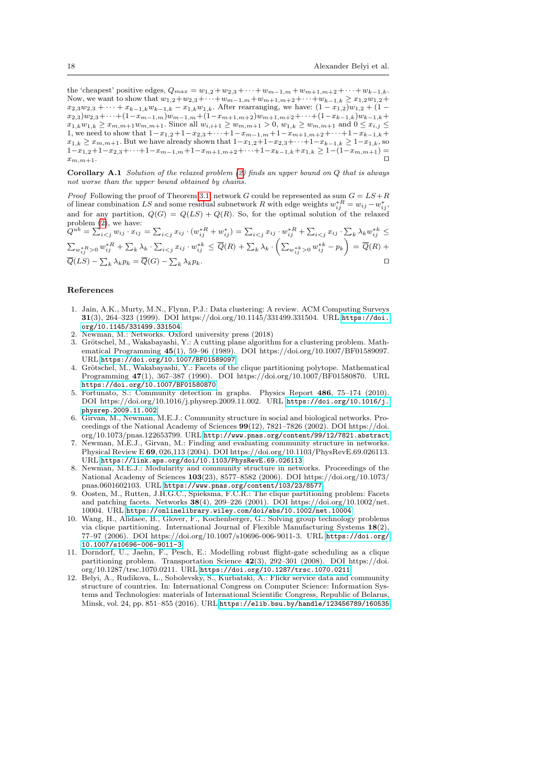the 'cheapest' positive edges,  $Q_{max} = w_{1,2} + w_{2,3} + \cdots + w_{m-1,m} + w_{m+1,m+2} + \cdots + w_{k-1,k}$ . Now, we want to show that  $w_{1,2}+w_{2,3}+\cdots+w_{m-1,m}+w_{m+1,m+2}+\cdots+w_{k-1,k}\geq x_{1,2}w_{1,2}+$  $x_{2,3}w_{2,3} + \cdots + x_{k-1,k}w_{k-1,k} - x_{1,k}w_{1,k}$ . After rearranging, we have:  $(1-x_{1,2})w_{1,2} + (1-x_{1,2})w_{2,3}$  $x_{2,3})w_{2,3}+\cdots+(1-x_{m-1,m})w_{m-1,m}+(1-x_{m+1,m+2})w_{m+1,m+2}+\cdots+(1-x_{k-1,k})w_{k-1,k}+$  $x_{1,k}w_{1,k} \geq x_{m,m+1}w_{m,m+1}$ . Since all  $w_{i,i+1} \geq w_{m,m+1} > 0$ ,  $w_{1,k} \geq w_{m,m+1}$  and  $0 \leq x_{i,j} \leq$ 1, we need to show that  $1-x_{1,2}+1-x_{2,3}+\cdots+1-x_{m-1,m}+1-x_{m+1,m+2}+\cdots+1-x_{k-1,k}+$  $x_{1,k} \geq x_{m,m+1}$ . But we have already shown that  $1-x_{1,2}+1-x_{2,3}+\cdots+1-x_{k-1,k} \geq 1-x_{1,k}$ , so  $1-x_{1,2}+1-x_{2,3}+\cdots+1-x_{m-1,m}+1-x_{m+1,m+2}+\cdots+1-x_{k-1,k}+x_{1,k} \geq 1-(1-x_{m,m+1})=$  $x_{m,m+1}$ .

<span id="page-17-12"></span>Corollary A.1 Solution of the relaxed problem [\(2\)](#page-3-1) finds an upper bound on Q that is always not worse than the upper bound obtained by chains.

*Proof* Following the proof of Theorem [3.1,](#page-5-1) network G could be represented as sum  $G = LS + R$ of linear combination LS and some residual subnetwork R with edge weights  $w_{ij}^{*R} = w_{ij} - w_{ij}^{*}$ and for any partition,  $Q(G) = Q(LS) + Q(R)$ . So, for the optimal solution of the relaxed problem [\(2\)](#page-3-1), we have:

 $Q^{ub} = \sum_{i < j} w_{ij} \cdot x_{ij} = \sum_{i < j} x_{ij} \cdot (w_{ij}^{*R} + w_{ij}^{*}) = \sum_{i < j} x_{ij} \cdot w_{ij}^{*R} + \sum_{i < j} x_{ij} \cdot \sum_{k} \lambda_k w_{ij}^{*k} \leq$  $\sum_{w_{ij}^{*R} > 0} w_{ij}^{*R} + \sum_{k} \lambda_k \cdot \sum_{i < j} x_{ij} \cdot w_{ij}^{*k} \leq \overline{Q}(R) + \sum_{k} \lambda_k \cdot \left( \sum_{w_{ij}^{*k} > 0} w_{ij}^{*k} - p_k \right) = \overline{Q}(R) +$  $\overline{Q}(LS) - \sum_{k} \lambda_k p_k = \overline{Q}(G) - \sum_{k}$  $\lambda_k p_k$ .

## References

- <span id="page-17-0"></span>1. Jain, A.K., Murty, M.N., Flynn, P.J.: Data clustering: A review. ACM Computing Surveys 31(3), 264–323 (1999). DOI https://doi.org/10.1145/331499.331504. URL [https://doi.](https://doi.org/10.1145/331499.331504) [org/10.1145/331499.331504](https://doi.org/10.1145/331499.331504)
- <span id="page-17-1"></span>2. Newman, M.: Networks. Oxford university press (2018)
- <span id="page-17-2"></span>3. Grötschel, M., Wakabayashi, Y.: A cutting plane algorithm for a clustering problem. Mathematical Programming 45(1), 59–96 (1989). DOI https://doi.org/10.1007/BF01589097. URL <https://doi.org/10.1007/BF01589097>
- <span id="page-17-3"></span>4. Grötschel, M., Wakabayashi, Y.: Facets of the clique partitioning polytope. Mathematical Programming 47(1), 367–387 (1990). DOI https://doi.org/10.1007/BF01580870. URL <https://doi.org/10.1007/BF01580870>
- <span id="page-17-4"></span>5. Fortunato, S.: Community detection in graphs. Physics Report 486, 75–174 (2010). DOI https://doi.org/10.1016/j.physrep.2009.11.002. URL [https://doi.org/10.1016/j.](https://doi.org/10.1016/j.physrep.2009.11.002) [physrep.2009.11.002](https://doi.org/10.1016/j.physrep.2009.11.002)
- <span id="page-17-5"></span>6. Girvan, M., Newman, M.E.J.: Community structure in social and biological networks. Proceedings of the National Academy of Sciences 99(12), 7821–7826 (2002). DOI https://doi. org/10.1073/pnas.122653799. URL <http://www.pnas.org/content/99/12/7821.abstract>
- <span id="page-17-6"></span>7. Newman, M.E.J., Girvan, M.: Finding and evaluating community structure in networks. Physical Review E 69, 026,113 (2004). DOI https://doi.org/10.1103/PhysRevE.69.026113. URL <https://link.aps.org/doi/10.1103/PhysRevE.69.026113>
- <span id="page-17-7"></span>Newman, M.E.J.: Modularity and community structure in networks. Proceedings of the National Academy of Sciences 103(23), 8577–8582 (2006). DOI https://doi.org/10.1073/ pnas.0601602103. URL <https://www.pnas.org/content/103/23/8577>
- <span id="page-17-8"></span>9. Oosten, M., Rutten, J.H.G.C., Spieksma, F.C.R.: The clique partitioning problem: Facets and patching facets. Networks 38(4), 209–226 (2001). DOI https://doi.org/10.1002/net. 10004. URL <https://onlinelibrary.wiley.com/doi/abs/10.1002/net.10004>
- <span id="page-17-9"></span>10. Wang, H., Alidaee, B., Glover, F., Kochenberger, G.: Solving group technology problems via clique partitioning. International Journal of Flexible Manufacturing Systems 18(2), 77–97 (2006). DOI https://doi.org/10.1007/s10696-006-9011-3. URL [https://doi.org/](https://doi.org/10.1007/s10696-006-9011-3) [10.1007/s10696-006-9011-3](https://doi.org/10.1007/s10696-006-9011-3)
- <span id="page-17-10"></span>11. Dorndorf, U., Jaehn, F., Pesch, E.: Modelling robust flight-gate scheduling as a clique partitioning problem. Transportation Science 42(3), 292–301 (2008). DOI https://doi. org/10.1287/trsc.1070.0211. URL <https://doi.org/10.1287/trsc.1070.0211>
- <span id="page-17-11"></span>12. Belyi, A., Rudikova, L., Sobolevsky, S., Kurbatski, A.: Flickr service data and community structure of countries. In: International Congress on Computer Science: Information Systems and Technologies: materials of International Scientific Congress, Republic of Belarus, Minsk, vol. 24, pp. 851–855 (2016). URL <https://elib.bsu.by/handle/123456789/160535>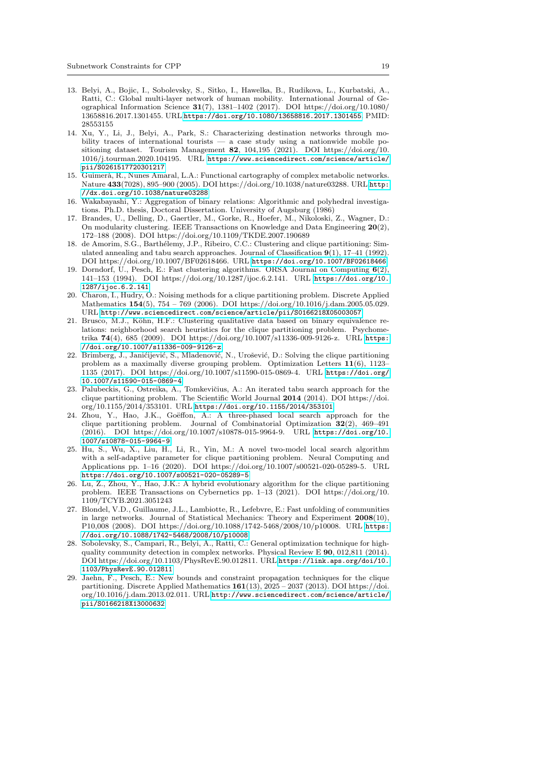- <span id="page-18-0"></span>13. Belyi, A., Bojic, I., Sobolevsky, S., Sitko, I., Hawelka, B., Rudikova, L., Kurbatski, A., Ratti, C.: Global multi-layer network of human mobility. International Journal of Geographical Information Science 31(7), 1381–1402 (2017). DOI https://doi.org/10.1080/ 13658816.2017.1301455. URL <https://doi.org/10.1080/13658816.2017.1301455>. PMID: 28553155
- <span id="page-18-1"></span>14. Xu, Y., Li, J., Belyi, A., Park, S.: Characterizing destination networks through mobility traces of international tourists — a case study using a nationwide mobile positioning dataset. Tourism Management 82, 104,195 (2021). DOI https://doi.org/10. 1016/j.tourman.2020.104195. URL [https://www.sciencedirect.com/science/article/](https://www.sciencedirect.com/science/article/pii/S0261517720301217) [pii/S0261517720301217](https://www.sciencedirect.com/science/article/pii/S0261517720301217)
- <span id="page-18-2"></span>15. Guimer`a, R., Nunes Amaral, L.A.: Functional cartography of complex metabolic networks. Nature 433(7028), 895–900 (2005). DOI https://doi.org/10.1038/nature03288. URL [http:](http://dx.doi.org/10.1038/nature03288) [//dx.doi.org/10.1038/nature03288](http://dx.doi.org/10.1038/nature03288)
- <span id="page-18-3"></span>16. Wakabayashi, Y.: Aggregation of binary relations: Algorithmic and polyhedral investigations. Ph.D. thesis, Doctoral Dissertation. University of Augsburg (1986)
- <span id="page-18-4"></span>17. Brandes, U., Delling, D., Gaertler, M., Gorke, R., Hoefer, M., Nikoloski, Z., Wagner, D.: On modularity clustering. IEEE Transactions on Knowledge and Data Engineering 20(2), 172–188 (2008). DOI https://doi.org/10.1109/TKDE.2007.190689
- <span id="page-18-5"></span>18. de Amorim, S.G., Barthélemy, J.P., Ribeiro, C.C.: Clustering and clique partitioning: Simulated annealing and tabu search approaches. Journal of Classification 9(1), 17–41 (1992). DOI https://doi.org/10.1007/BF02618466. URL <https://doi.org/10.1007/BF02618466>
- <span id="page-18-6"></span>19. Dorndorf, U., Pesch, E.: Fast clustering algorithms. ORSA Journal on Computing 6(2), 141–153 (1994). DOI https://doi.org/10.1287/ijoc.6.2.141. URL [https://doi.org/10.](https://doi.org/10.1287/ijoc.6.2.141) [1287/ijoc.6.2.141](https://doi.org/10.1287/ijoc.6.2.141)
- <span id="page-18-7"></span>20. Charon, I., Hudry, O.: Noising methods for a clique partitioning problem. Discrete Applied Mathematics 154(5), 754 – 769 (2006). DOI https://doi.org/10.1016/j.dam.2005.05.029. URL <http://www.sciencedirect.com/science/article/pii/S0166218X05003057>
- <span id="page-18-8"></span>21. Brusco, M.J., Köhn, H.F.: Clustering qualitative data based on binary equivalence relations: neighborhood search heuristics for the clique partitioning problem. Psychometrika 74(4), 685 (2009). DOI https://doi.org/10.1007/s11336-009-9126-z. URL [https:](https://doi.org/10.1007/s11336-009-9126-z) [//doi.org/10.1007/s11336-009-9126-z](https://doi.org/10.1007/s11336-009-9126-z)
- <span id="page-18-9"></span>22. Brimberg, J., Janićijević, S., Mladenović, N., Urošević, D.: Solving the clique partitioning problem as a maximally diverse grouping problem. Optimization Letters 11(6), 1123– 1135 (2017). DOI https://doi.org/10.1007/s11590-015-0869-4. URL [https://doi.org/](https://doi.org/10.1007/s11590-015-0869-4) [10.1007/s11590-015-0869-4](https://doi.org/10.1007/s11590-015-0869-4)
- <span id="page-18-10"></span>23. Palubeckis, G., Ostreika, A., Tomkevičius, A.: An iterated tabu search approach for the clique partitioning problem. The Scientific World Journal 2014 (2014). DOI https://doi. org/10.1155/2014/353101. URL <https://doi.org/10.1155/2014/353101>
- <span id="page-18-11"></span>24. Zhou, Y., Hao, J.K., Goëffon, A.: A three-phased local search approach for the clique partitioning problem. Journal of Combinatorial Optimization 32(2), 469–491 (2016). DOI https://doi.org/10.1007/s10878-015-9964-9. URL [https://doi.org/10.](https://doi.org/10.1007/s10878-015-9964-9) [1007/s10878-015-9964-9](https://doi.org/10.1007/s10878-015-9964-9)
- <span id="page-18-12"></span>25. Hu, S., Wu, X., Liu, H., Li, R., Yin, M.: A novel two-model local search algorithm with a self-adaptive parameter for clique partitioning problem. Neural Computing and Applications pp. 1–16 (2020). DOI https://doi.org/10.1007/s00521-020-05289-5. URL <https://doi.org/10.1007/s00521-020-05289-5>
- <span id="page-18-13"></span>26. Lu, Z., Zhou, Y., Hao, J.K.: A hybrid evolutionary algorithm for the clique partitioning problem. IEEE Transactions on Cybernetics pp. 1–13 (2021). DOI https://doi.org/10. 1109/TCYB.2021.3051243
- <span id="page-18-14"></span>27. Blondel, V.D., Guillaume, J.L., Lambiotte, R., Lefebvre, E.: Fast unfolding of communities in large networks. Journal of Statistical Mechanics: Theory and Experiment 2008(10), P10,008 (2008). DOI https://doi.org/10.1088/1742-5468/2008/10/p10008. URL [https:](https://doi.org/10.1088/1742-5468/2008/10/p10008) [//doi.org/10.1088/1742-5468/2008/10/p10008](https://doi.org/10.1088/1742-5468/2008/10/p10008)
- <span id="page-18-15"></span>28. Sobolevsky, S., Campari, R., Belyi, A., Ratti, C.: General optimization technique for highquality community detection in complex networks. Physical Review E 90, 012,811 (2014). DOI https://doi.org/10.1103/PhysRevE.90.012811. URL [https://link.aps.org/doi/10.](https://link.aps.org/doi/10.1103/PhysRevE.90.012811) [1103/PhysRevE.90.012811](https://link.aps.org/doi/10.1103/PhysRevE.90.012811)
- <span id="page-18-16"></span>29. Jaehn, F., Pesch, E.: New bounds and constraint propagation techniques for the clique partitioning. Discrete Applied Mathematics  $161(13)$ ,  $2025 - 2037(2013)$ . DOI https://doi. org/10.1016/j.dam.2013.02.011. URL [http://www.sciencedirect.com/science/article/](http://www.sciencedirect.com/science/article/pii/S0166218X13000632) [pii/S0166218X13000632](http://www.sciencedirect.com/science/article/pii/S0166218X13000632)